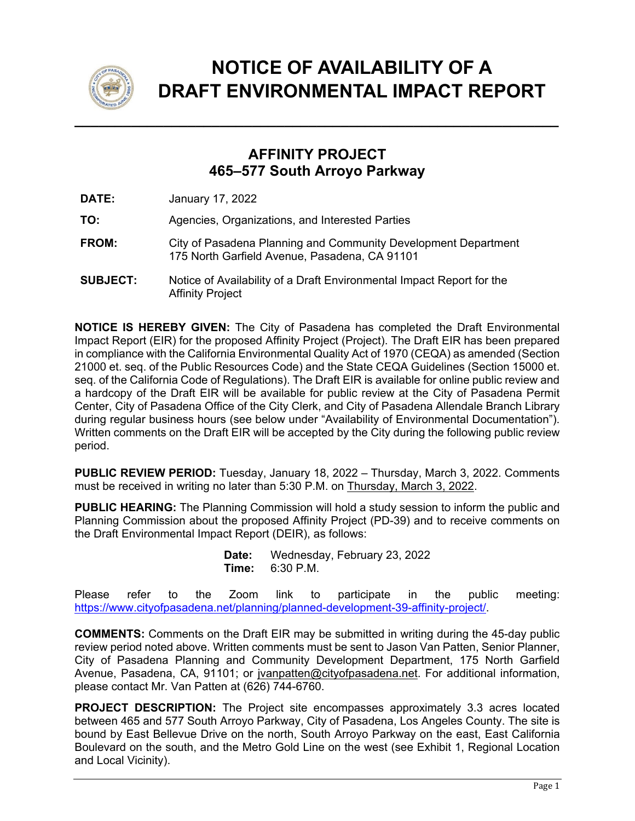

## **NOTICE OF AVAILABILITY OF A DRAFT ENVIRONMENTAL IMPACT REPORT**

## **AFFINITY PROJECT 465–577 South Arroyo Parkway**

**DATE:** January 17, 2022

**TO:** Agencies, Organizations, and Interested Parties

- **FROM:** City of Pasadena Planning and Community Development Department 175 North Garfield Avenue, Pasadena, CA 91101
- **SUBJECT:** Notice of Availability of a Draft Environmental Impact Report for the Affinity Project

**NOTICE IS HEREBY GIVEN:** The City of Pasadena has completed the Draft Environmental Impact Report (EIR) for the proposed Affinity Project (Project). The Draft EIR has been prepared in compliance with the California Environmental Quality Act of 1970 (CEQA) as amended (Section 21000 et. seq. of the Public Resources Code) and the State CEQA Guidelines (Section 15000 et. seq. of the California Code of Regulations). The Draft EIR is available for online public review and a hardcopy of the Draft EIR will be available for public review at the City of Pasadena Permit Center, City of Pasadena Office of the City Clerk, and City of Pasadena Allendale Branch Library during regular business hours (see below under "Availability of Environmental Documentation"). Written comments on the Draft EIR will be accepted by the City during the following public review period.

**PUBLIC REVIEW PERIOD:** Tuesday, January 18, 2022 – Thursday, March 3, 2022. Comments must be received in writing no later than 5:30 P.M. on Thursday, March 3, 2022.

**PUBLIC HEARING:** The Planning Commission will hold a study session to inform the public and Planning Commission about the proposed Affinity Project (PD-39) and to receive comments on the Draft Environmental Impact Report (DEIR), as follows:

> **Date:** Wednesday, February 23, 2022 **Time:** 6:30 P.M.

Please refer to the Zoom link to participate in the public meeting: https://www.cityofpasadena.net/planning/planned-development-39-affinity-project/.

**COMMENTS:** Comments on the Draft EIR may be submitted in writing during the 45-day public review period noted above. Written comments must be sent to Jason Van Patten, Senior Planner, City of Pasadena Planning and Community Development Department, 175 North Garfield Avenue, Pasadena, CA, 91101; or jvanpatten@cityofpasadena.net. For additional information, please contact Mr. Van Patten at (626) 744-6760.

**PROJECT DESCRIPTION:** The Project site encompasses approximately 3.3 acres located between 465 and 577 South Arroyo Parkway, City of Pasadena, Los Angeles County. The site is bound by East Bellevue Drive on the north, South Arroyo Parkway on the east, East California Boulevard on the south, and the Metro Gold Line on the west (see Exhibit 1, Regional Location and Local Vicinity).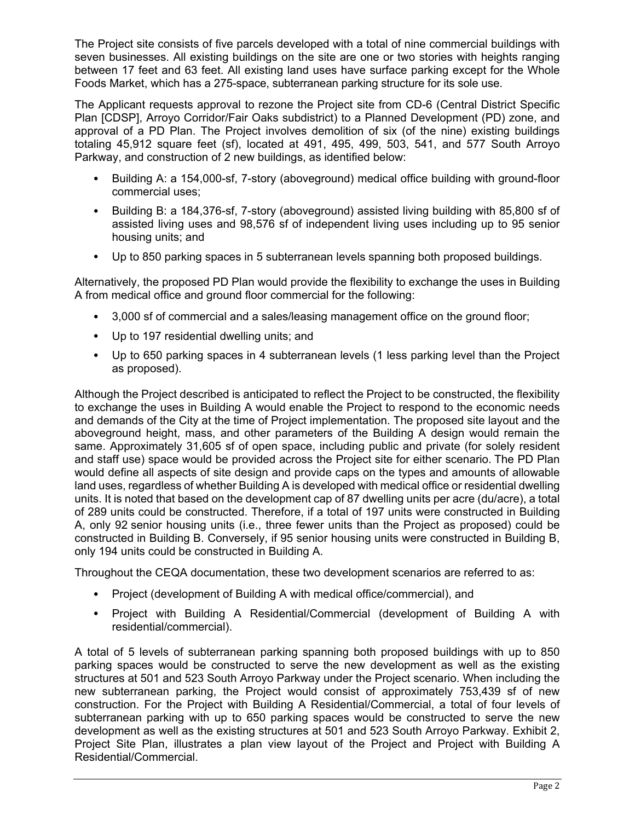The Project site consists of five parcels developed with a total of nine commercial buildings with seven businesses. All existing buildings on the site are one or two stories with heights ranging between 17 feet and 63 feet. All existing land uses have surface parking except for the Whole Foods Market, which has a 275-space, subterranean parking structure for its sole use.

The Applicant requests approval to rezone the Project site from CD-6 (Central District Specific Plan [CDSP], Arroyo Corridor/Fair Oaks subdistrict) to a Planned Development (PD) zone, and approval of a PD Plan. The Project involves demolition of six (of the nine) existing buildings totaling 45,912 square feet (sf), located at 491, 495, 499, 503, 541, and 577 South Arroyo Parkway, and construction of 2 new buildings, as identified below:

- Building A: a 154,000-sf, 7-story (aboveground) medical office building with ground-floor commercial uses;
- Building B: a 184,376-sf, 7-story (aboveground) assisted living building with 85,800 sf of assisted living uses and 98,576 sf of independent living uses including up to 95 senior housing units; and
- Up to 850 parking spaces in 5 subterranean levels spanning both proposed buildings.

Alternatively, the proposed PD Plan would provide the flexibility to exchange the uses in Building A from medical office and ground floor commercial for the following:

- 3,000 sf of commercial and a sales/leasing management office on the ground floor;
- Up to 197 residential dwelling units; and
- Up to 650 parking spaces in 4 subterranean levels (1 less parking level than the Project as proposed).

Although the Project described is anticipated to reflect the Project to be constructed, the flexibility to exchange the uses in Building A would enable the Project to respond to the economic needs and demands of the City at the time of Project implementation. The proposed site layout and the aboveground height, mass, and other parameters of the Building A design would remain the same. Approximately 31,605 sf of open space, including public and private (for solely resident and staff use) space would be provided across the Project site for either scenario. The PD Plan would define all aspects of site design and provide caps on the types and amounts of allowable land uses, regardless of whether Building A is developed with medical office or residential dwelling units. It is noted that based on the development cap of 87 dwelling units per acre (du/acre), a total of 289 units could be constructed. Therefore, if a total of 197 units were constructed in Building A, only 92 senior housing units (i.e., three fewer units than the Project as proposed) could be constructed in Building B. Conversely, if 95 senior housing units were constructed in Building B, only 194 units could be constructed in Building A.

Throughout the CEQA documentation, these two development scenarios are referred to as:

- Project (development of Building A with medical office/commercial), and
- Project with Building A Residential/Commercial (development of Building A with residential/commercial).

A total of 5 levels of subterranean parking spanning both proposed buildings with up to 850 parking spaces would be constructed to serve the new development as well as the existing structures at 501 and 523 South Arroyo Parkway under the Project scenario. When including the new subterranean parking, the Project would consist of approximately 753,439 sf of new construction. For the Project with Building A Residential/Commercial, a total of four levels of subterranean parking with up to 650 parking spaces would be constructed to serve the new development as well as the existing structures at 501 and 523 South Arroyo Parkway. Exhibit 2, Project Site Plan, illustrates a plan view layout of the Project and Project with Building A Residential/Commercial.